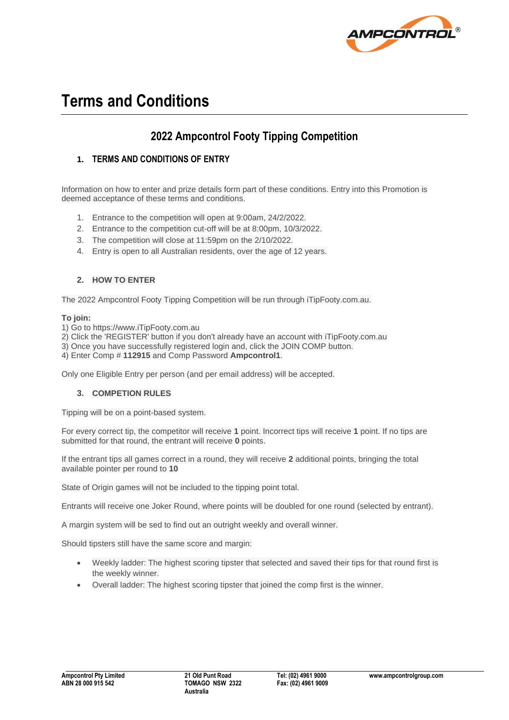

# **Terms and Conditions**

## **2022 Ampcontrol Footy Tipping Competition**

### **1. TERMS AND CONDITIONS OF ENTRY**

Information on how to enter and prize details form part of these conditions. Entry into this Promotion is deemed acceptance of these terms and conditions.

- 1. Entrance to the competition will open at 9:00am, 24/2/2022.
- 2. Entrance to the competition cut-off will be at 8:00pm, 10/3/2022.
- 3. The competition will close at 11:59pm on the 2/10/2022.
- 4. Entry is open to all Australian residents, over the age of 12 years.

#### **2. HOW TO ENTER**

The 2022 Ampcontrol Footy Tipping Competition will be run through iTipFooty.com.au.

#### **To join:**

1) Go to https://www.iTipFooty.com.au

- 2) Click the 'REGISTER' button if you don't already have an account with iTipFooty.com.au
- 3) Once you have successfully registered login and, click the JOIN COMP button.
- 4) Enter Comp # **112915** and Comp Password **Ampcontrol1**.

Only one Eligible Entry per person (and per email address) will be accepted.

#### **3. COMPETION RULES**

Tipping will be on a point-based system.

For every correct tip, the competitor will receive **1** point. Incorrect tips will receive **1** point. If no tips are submitted for that round, the entrant will receive **0** points.

If the entrant tips all games correct in a round, they will receive **2** additional points, bringing the total available pointer per round to **10**

State of Origin games will not be included to the tipping point total.

Entrants will receive one Joker Round, where points will be doubled for one round (selected by entrant).

A margin system will be sed to find out an outright weekly and overall winner.

Should tipsters still have the same score and margin:

- Weekly ladder: The highest scoring tipster that selected and saved their tips for that round first is the weekly winner.
- Overall ladder: The highest scoring tipster that joined the comp first is the winner.